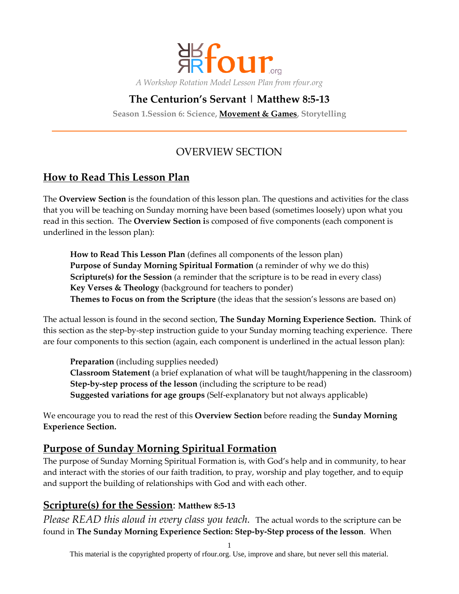

# **The Centurion's Servant | Matthew 8:5-13**

**Season 1.Session 6: Science, Movement & Games, Storytelling**

# OVERVIEW SECTION

# **How to Read This Lesson Plan**

The **Overview Section** is the foundation of this lesson plan. The questions and activities for the class that you will be teaching on Sunday morning have been based (sometimes loosely) upon what you read in this section. The **Overview Section i**s composed of five components (each component is underlined in the lesson plan):

**How to Read This Lesson Plan** (defines all components of the lesson plan) **Purpose of Sunday Morning Spiritual Formation** (a reminder of why we do this) **Scripture(s) for the Session** (a reminder that the scripture is to be read in every class) **Key Verses & Theology** (background for teachers to ponder) **Themes to Focus on from the Scripture** (the ideas that the session's lessons are based on)

The actual lesson is found in the second section, **The Sunday Morning Experience Section.** Think of this section as the step-by-step instruction guide to your Sunday morning teaching experience. There are four components to this section (again, each component is underlined in the actual lesson plan):

**Preparation** (including supplies needed) **Classroom Statement** (a brief explanation of what will be taught/happening in the classroom) **Step-by-step process of the lesson** (including the scripture to be read) **Suggested variations for age groups** (Self-explanatory but not always applicable)

We encourage you to read the rest of this **Overview Section** before reading the **Sunday Morning Experience Section.**

## **Purpose of Sunday Morning Spiritual Formation**

The purpose of Sunday Morning Spiritual Formation is, with God's help and in community, to hear and interact with the stories of our faith tradition, to pray, worship and play together, and to equip and support the building of relationships with God and with each other.

### **Scripture(s) for the Session**: **Matthew 8:5-13**

*Please READ this aloud in every class you teach.* The actual words to the scripture can be found in **The Sunday Morning Experience Section: Step-by-Step process of the lesson**. When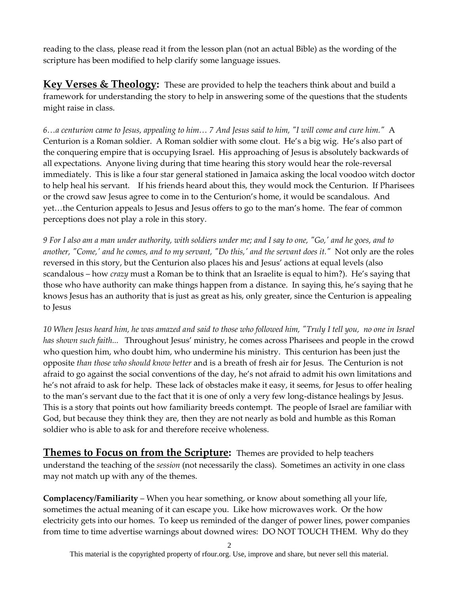reading to the class, please read it from the lesson plan (not an actual Bible) as the wording of the scripture has been modified to help clarify some language issues.

**Key Verses & Theology:** These are provided to help the teachers think about and build a framework for understanding the story to help in answering some of the questions that the students might raise in class.

*6…a centurion came to Jesus, appealing to him… 7 And Jesus said to him, "I will come and cure him."* A Centurion is a Roman soldier. A Roman soldier with some clout. He's a big wig. He's also part of the conquering empire that is occupying Israel. His approaching of Jesus is absolutely backwards of all expectations. Anyone living during that time hearing this story would hear the role-reversal immediately. This is like a four star general stationed in Jamaica asking the local voodoo witch doctor to help heal his servant. If his friends heard about this, they would mock the Centurion. If Pharisees or the crowd saw Jesus agree to come in to the Centurion's home, it would be scandalous. And yet…the Centurion appeals to Jesus and Jesus offers to go to the man's home. The fear of common perceptions does not play a role in this story.

*9 For I also am a man under authority, with soldiers under me; and I say to one, "Go,' and he goes, and to another, "Come,' and he comes, and to my servant, "Do this,' and the servant does it."* Not only are the roles reversed in this story, but the Centurion also places his and Jesus' actions at equal levels (also scandalous – how *crazy* must a Roman be to think that an Israelite is equal to him?). He's saying that those who have authority can make things happen from a distance. In saying this, he's saying that he knows Jesus has an authority that is just as great as his, only greater, since the Centurion is appealing to Jesus

*10 When Jesus heard him, he was amazed and said to those who followed him, "Truly I tell you, no one in Israel has shown such faith...* Throughout Jesus' ministry, he comes across Pharisees and people in the crowd who question him, who doubt him, who undermine his ministry. This centurion has been just the opposite *than those who should know better* and is a breath of fresh air for Jesus. The Centurion is not afraid to go against the social conventions of the day, he's not afraid to admit his own limitations and he's not afraid to ask for help. These lack of obstacles make it easy, it seems, for Jesus to offer healing to the man's servant due to the fact that it is one of only a very few long-distance healings by Jesus. This is a story that points out how familiarity breeds contempt. The people of Israel are familiar with God, but because they think they are, then they are not nearly as bold and humble as this Roman soldier who is able to ask for and therefore receive wholeness.

**Themes to Focus on from the Scripture:** Themes are provided to help teachers understand the teaching of the *session* (not necessarily the class). Sometimes an activity in one class may not match up with any of the themes.

**Complacency/Familiarity** – When you hear something, or know about something all your life, sometimes the actual meaning of it can escape you. Like how microwaves work. Or the how electricity gets into our homes. To keep us reminded of the danger of power lines, power companies from time to time advertise warnings about downed wires: DO NOT TOUCH THEM. Why do they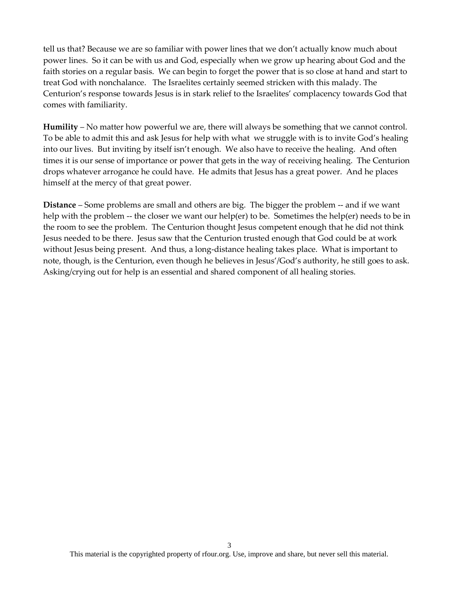tell us that? Because we are so familiar with power lines that we don't actually know much about power lines. So it can be with us and God, especially when we grow up hearing about God and the faith stories on a regular basis. We can begin to forget the power that is so close at hand and start to treat God with nonchalance. The Israelites certainly seemed stricken with this malady. The Centurion's response towards Jesus is in stark relief to the Israelites' complacency towards God that comes with familiarity.

**Humility** – No matter how powerful we are, there will always be something that we cannot control. To be able to admit this and ask Jesus for help with what we struggle with is to invite God's healing into our lives. But inviting by itself isn't enough. We also have to receive the healing. And often times it is our sense of importance or power that gets in the way of receiving healing. The Centurion drops whatever arrogance he could have. He admits that Jesus has a great power. And he places himself at the mercy of that great power.

**Distance** – Some problems are small and others are big. The bigger the problem -- and if we want help with the problem -- the closer we want our help(er) to be. Sometimes the help(er) needs to be in the room to see the problem. The Centurion thought Jesus competent enough that he did not think Jesus needed to be there. Jesus saw that the Centurion trusted enough that God could be at work without Jesus being present. And thus, a long-distance healing takes place. What is important to note, though, is the Centurion, even though he believes in Jesus'/God's authority, he still goes to ask. Asking/crying out for help is an essential and shared component of all healing stories.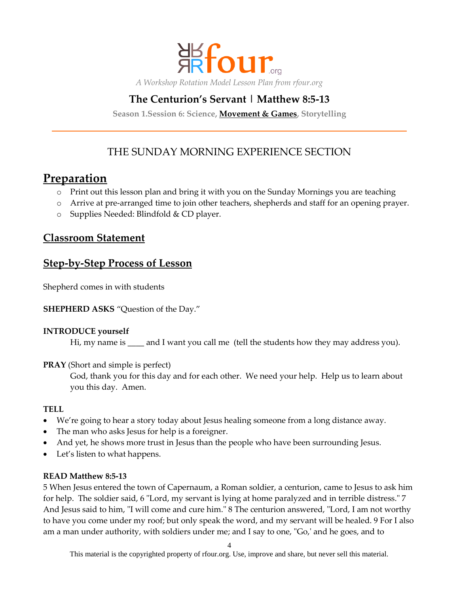

# **The Centurion's Servant | Matthew 8:5-13**

**Season 1.Session 6: Science, Movement & Games, Storytelling**

# THE SUNDAY MORNING EXPERIENCE SECTION

# **Preparation**

- o Print out this lesson plan and bring it with you on the Sunday Mornings you are teaching
- o Arrive at pre-arranged time to join other teachers, shepherds and staff for an opening prayer.
- o Supplies Needed: Blindfold & CD player.

### **Classroom Statement**

### **Step-by-Step Process of Lesson**

Shepherd comes in with students

#### **SHEPHERD ASKS** "Question of the Day."

#### **INTRODUCE yourself**

Hi, my name is \_\_\_\_ and I want you call me (tell the students how they may address you).

#### **PRAY** (Short and simple is perfect)

God, thank you for this day and for each other. We need your help. Help us to learn about you this day. Amen.

#### **TELL**

- We're going to hear a story today about Jesus healing someone from a long distance away.
- The man who asks Jesus for help is a foreigner.
- And yet, he shows more trust in Jesus than the people who have been surrounding Jesus.
- Let's listen to what happens.

#### **READ Matthew 8:5-13**

5 When Jesus entered the town of Capernaum, a Roman soldier, a centurion, came to Jesus to ask him for help. The soldier said, 6 "Lord, my servant is lying at home paralyzed and in terrible distress." 7 And Jesus said to him, "I will come and cure him." 8 The centurion answered, "Lord, I am not worthy to have you come under my roof; but only speak the word, and my servant will be healed. 9 For I also am a man under authority, with soldiers under me; and I say to one, "Go,' and he goes, and to

4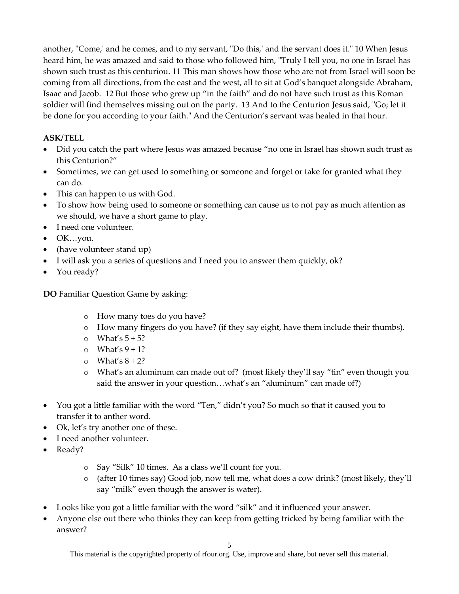another, "Come,' and he comes, and to my servant, "Do this,' and the servant does it." 10 When Jesus heard him, he was amazed and said to those who followed him, "Truly I tell you, no one in Israel has shown such trust as this centuriou. 11 This man shows how those who are not from Israel will soon be coming from all directions, from the east and the west, all to sit at God's banquet alongside Abraham, Isaac and Jacob. 12 But those who grew up "in the faith" and do not have such trust as this Roman soldier will find themselves missing out on the party. 13 And to the Centurion Jesus said, "Go; let it be done for you according to your faith." And the Centurion's servant was healed in that hour.

### **ASK/TELL**

- Did you catch the part where Jesus was amazed because "no one in Israel has shown such trust as this Centurion?"
- Sometimes, we can get used to something or someone and forget or take for granted what they can do.
- This can happen to us with God.
- To show how being used to someone or something can cause us to not pay as much attention as we should, we have a short game to play.
- I need one volunteer.
- OK…you.
- (have volunteer stand up)
- I will ask you a series of questions and I need you to answer them quickly, ok?
- You ready?

**DO** Familiar Question Game by asking:

- o How many toes do you have?
- o How many fingers do you have? (if they say eight, have them include their thumbs).
- $\circ$  What's  $5 + 5$ ?
- $\circ$  What's 9 + 1?
- $\circ$  What's  $8 + 2$ ?
- o What's an aluminum can made out of? (most likely they'll say "tin" even though you said the answer in your question...what's an "aluminum" can made of?)
- You got a little familiar with the word "Ten," didn't you? So much so that it caused you to transfer it to anther word.
- Ok, let's try another one of these.
- I need another volunteer.
- Ready?
	- o Say "Silk" 10 times. As a class we'll count for you.
	- o (after 10 times say) Good job, now tell me, what does a cow drink? (most likely, they'll say "milk" even though the answer is water).
- Looks like you got a little familiar with the word "silk" and it influenced your answer.
- Anyone else out there who thinks they can keep from getting tricked by being familiar with the answer?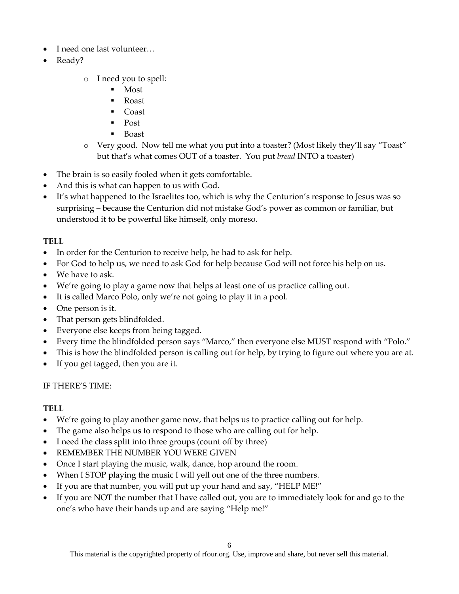- I need one last volunteer…
- Ready?
	- o I need you to spell:
		- Most
		- Roast
		- Coast
		- $\blacksquare$  Post
		- Boast
	- o Very good. Now tell me what you put into a toaster? (Most likely they'll say "Toast" but that's what comes OUT of a toaster. You put *bread* INTO a toaster)
- The brain is so easily fooled when it gets comfortable.
- And this is what can happen to us with God.
- It's what happened to the Israelites too, which is why the Centurion's response to Jesus was so surprising – because the Centurion did not mistake God's power as common or familiar, but understood it to be powerful like himself, only moreso.

### **TELL**

- In order for the Centurion to receive help, he had to ask for help.
- For God to help us, we need to ask God for help because God will not force his help on us.
- We have to ask.
- We're going to play a game now that helps at least one of us practice calling out.
- It is called Marco Polo, only we're not going to play it in a pool.
- One person is it.
- That person gets blindfolded.
- Everyone else keeps from being tagged.
- Every time the blindfolded person says "Marco," then everyone else MUST respond with "Polo."
- This is how the blindfolded person is calling out for help, by trying to figure out where you are at.
- If you get tagged, then you are it.

### IF THERE'S TIME:

### **TELL**

- We're going to play another game now, that helps us to practice calling out for help.
- The game also helps us to respond to those who are calling out for help.
- I need the class split into three groups (count off by three)
- REMEMBER THE NUMBER YOU WERE GIVEN
- Once I start playing the music, walk, dance, hop around the room.
- When I STOP playing the music I will yell out one of the three numbers.
- If you are that number, you will put up your hand and say, "HELP ME!"
- If you are NOT the number that I have called out, you are to immediately look for and go to the one's who have their hands up and are saying "Help me!"